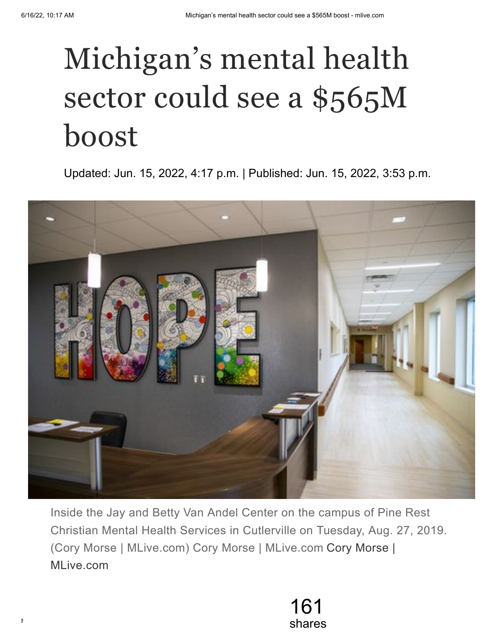## Michigan's mental health sector could see a \$565M boost

Updated: Jun. 15, 2022, 4:17 p.m. | Published: Jun. 15, 2022, 3:53 p.m.



Inside the Jay and Betty Van Andel Center on the campus of Pine Rest Christian Mental Health Services in Cutlerville on Tuesday, Aug. 27, 2019. (Cory Morse | MLive.com) Cory Morse | MLive.com Cory Morse | MLive.com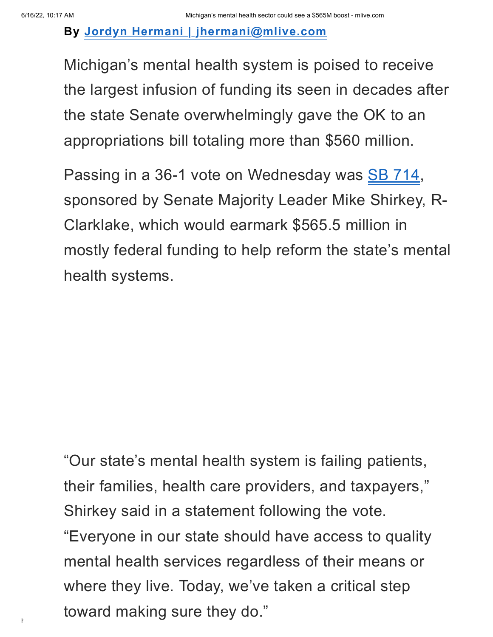**By Jordyn Hermani | [jhermani@mlive.com](http://www.mlive.com/staff/jhermani1/posts.html)**

Michigan's mental health system is poised to receive the largest infusion of funding its seen in decades after the state Senate overwhelmingly gave the OK to an appropriations bill totaling more than \$560 million.

Passing in a 36-1 vote on Wednesday was SB [714,](https://www.legislature.mi.gov/(S(wggc501cwcbgidovubytvzvt))/mileg.aspx?page=getObject&objectName=2021-SB-0714) sponsored by Senate Majority Leader Mike Shirkey, R-Clarklake, which would earmark \$565.5 million in mostly federal funding to help reform the state's mental health systems.

toward making sure they do." "Our state's mental health system is failing patients, their families, health care providers, and taxpayers, " Shirkey said in a statement following the vote. "Everyone in our state should have access to quality mental health services regardless of their means or where they live. Today, we've taken a critical step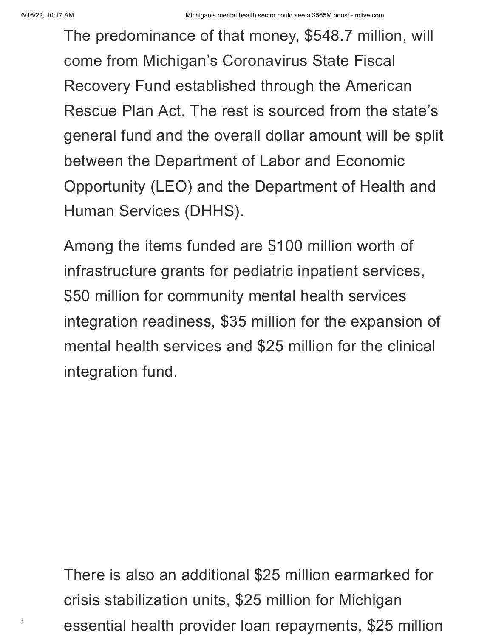The predominance of that money, \$548.7 million, will come from Michigan's Coronavirus State Fiscal Recovery Fund established through the American Rescue Plan Act. The rest is sourced from the state's general fund and the overall dollar amount will be split between the Department of Labor and Economic Opportunity (LEO) and the Department of Health and Human Services (DHHS).

Among the items funded are \$100 million worth of infrastructure grants for pediatric inpatient services, \$50 million for community mental health services integration readiness, \$35 million for the expansion of mental health services and \$25 million for the clinical integration fund.

 $^\prime$  essential health provider loan repayments, \$25 million There is also an additional \$25 million earmarked for crisis stabilization units, \$25 million for Michigan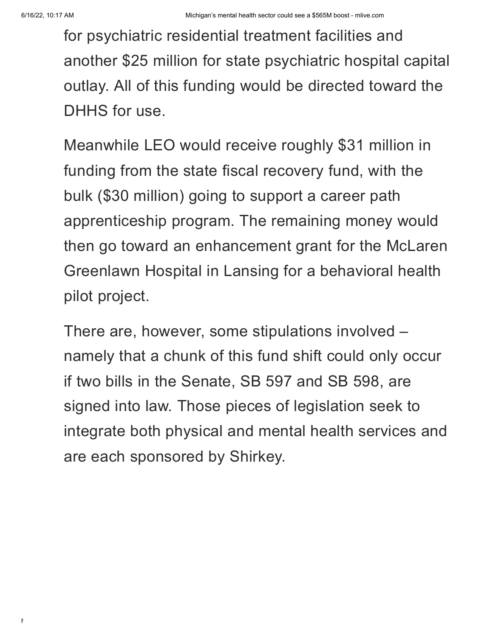for psychiatric residential treatment facilities and another \$25 million for state psychiatric hospital capital outlay. All of this funding would be directed toward the DHHS for use.

Meanwhile LEO would receive roughly \$31 million in funding from the state fiscal recovery fund, with the bulk (\$30 million) going to support a career path apprenticeship program. The remaining money would then go toward an enhancement grant for the McLaren Greenlawn Hospital in Lansing for a behavioral health pilot project.

There are, however, some stipulations involved – namely that a chunk of this fund shift could only occur if two bills in the Senate, SB 597 and SB 598, are signed into law. Those pieces of legislation seek to integrate both physical and mental health services and are each sponsored by Shirkey.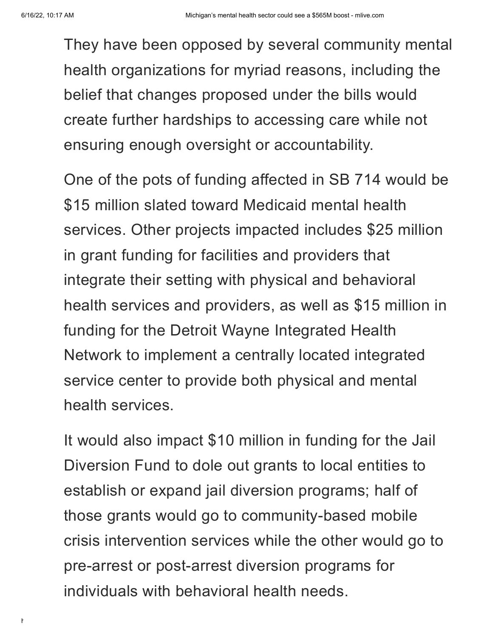They have been opposed by several community mental health organizations for myriad reasons, including the belief that changes proposed under the bills would create further hardships to accessing care while not ensuring enough oversight or accountability.

One of the pots of funding affected in SB 714 would be \$15 million slated toward Medicaid mental health services. Other projects impacted includes \$25 million in grant funding for facilities and providers that integrate their setting with physical and behavioral health services and providers, as well as \$15 million in funding for the Detroit Wayne Integrated Health Network to implement a centrally located integrated service center to provide both physical and mental health services.

It would also impact \$10 million in funding for the Jail Diversion Fund to dole out grants to local entities to establish or expand jail diversion programs; half of those grants would go to community-based mobile crisis intervention services while the other would go to pre-arrest or post-arrest diversion programs for individuals with behavioral health needs.

https://www.mlive.com/politics/2022/06/michigans-mental-health-sector-could-see-a-565m-boost.html 5/8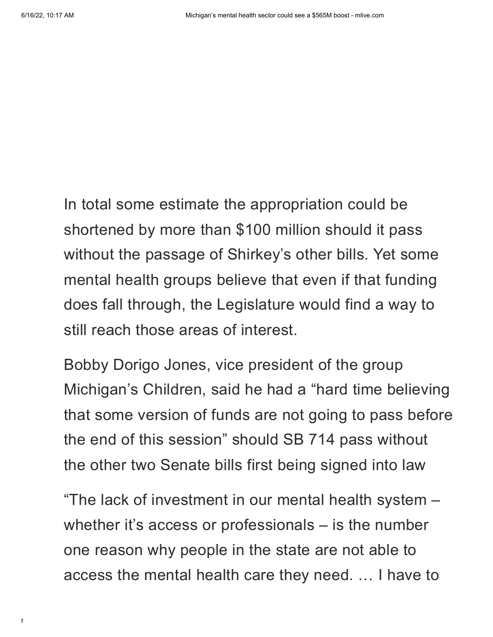In total some estimate the appropriation could be shortened by more than \$100 million should it pass without the passage of Shirkey's other bills. Yet some mental health groups believe that even if that funding does fall through, the Legislature would find a way to still reach those areas of interest.

Bobby Dorigo Jones, vice president of the group Michigan's Children, said he had a "hard time believing that some version of funds are not going to pass before the end of this session" should SB 714 pass without the other two Senate bills first being signed into law

"The lack of investment in our mental health system – whether it's access or professionals – is the number one reason why people in the state are not able to access the mental health care they need. … I have to